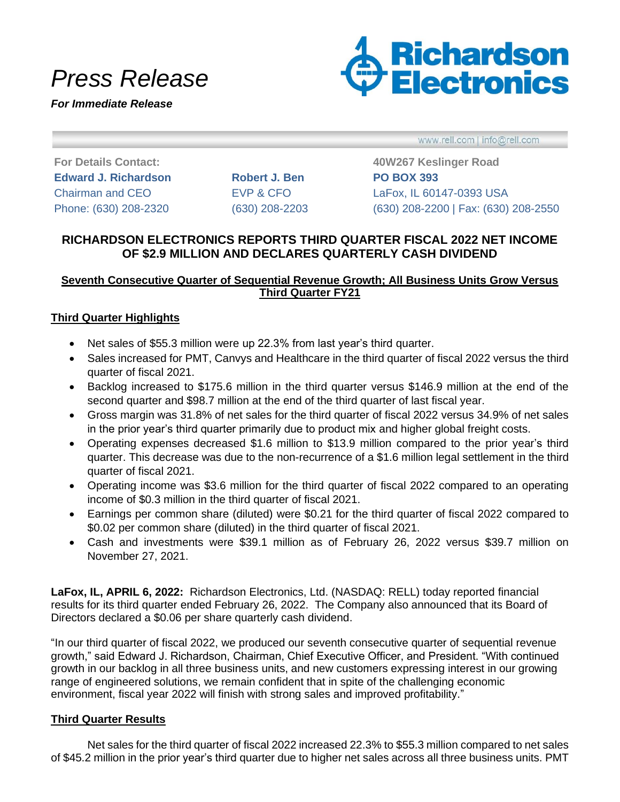# *Press Release*

*For Immediate Release*



www.rell.com | info@rell.com

**Edward J. Richardson Robert J. Ben PO BOX 393**

**For Details Contact: 40W267 Keslinger Road** Chairman and CEO EVP & CFO LaFox, IL 60147-0393 USA Phone: (630) 208-2320 (630) 208-2203 (630) 208-2200 | Fax: (630) 208-2550

## **RICHARDSON ELECTRONICS REPORTS THIRD QUARTER FISCAL 2022 NET INCOME OF \$2.9 MILLION AND DECLARES QUARTERLY CASH DIVIDEND**

## **Seventh Consecutive Quarter of Sequential Revenue Growth; All Business Units Grow Versus Third Quarter FY21**

### **Third Quarter Highlights**

- Net sales of \$55.3 million were up 22.3% from last year's third quarter.
- Sales increased for PMT, Canvys and Healthcare in the third quarter of fiscal 2022 versus the third quarter of fiscal 2021.
- Backlog increased to \$175.6 million in the third quarter versus \$146.9 million at the end of the second quarter and \$98.7 million at the end of the third quarter of last fiscal year.
- Gross margin was 31.8% of net sales for the third quarter of fiscal 2022 versus 34.9% of net sales in the prior year's third quarter primarily due to product mix and higher global freight costs.
- Operating expenses decreased \$1.6 million to \$13.9 million compared to the prior year's third quarter. This decrease was due to the non-recurrence of a \$1.6 million legal settlement in the third quarter of fiscal 2021.
- Operating income was \$3.6 million for the third quarter of fiscal 2022 compared to an operating income of \$0.3 million in the third quarter of fiscal 2021.
- Earnings per common share (diluted) were \$0.21 for the third quarter of fiscal 2022 compared to \$0.02 per common share (diluted) in the third quarter of fiscal 2021.
- Cash and investments were \$39.1 million as of February 26, 2022 versus \$39.7 million on November 27, 2021.

**LaFox, IL, APRIL 6, 2022:** Richardson Electronics, Ltd. (NASDAQ: RELL) today reported financial results for its third quarter ended February 26, 2022. The Company also announced that its Board of Directors declared a \$0.06 per share quarterly cash dividend.

"In our third quarter of fiscal 2022, we produced our seventh consecutive quarter of sequential revenue growth," said Edward J. Richardson, Chairman, Chief Executive Officer, and President. "With continued growth in our backlog in all three business units, and new customers expressing interest in our growing range of engineered solutions, we remain confident that in spite of the challenging economic environment, fiscal year 2022 will finish with strong sales and improved profitability."

### **Third Quarter Results**

Net sales for the third quarter of fiscal 2022 increased 22.3% to \$55.3 million compared to net sales of \$45.2 million in the prior year's third quarter due to higher net sales across all three business units. PMT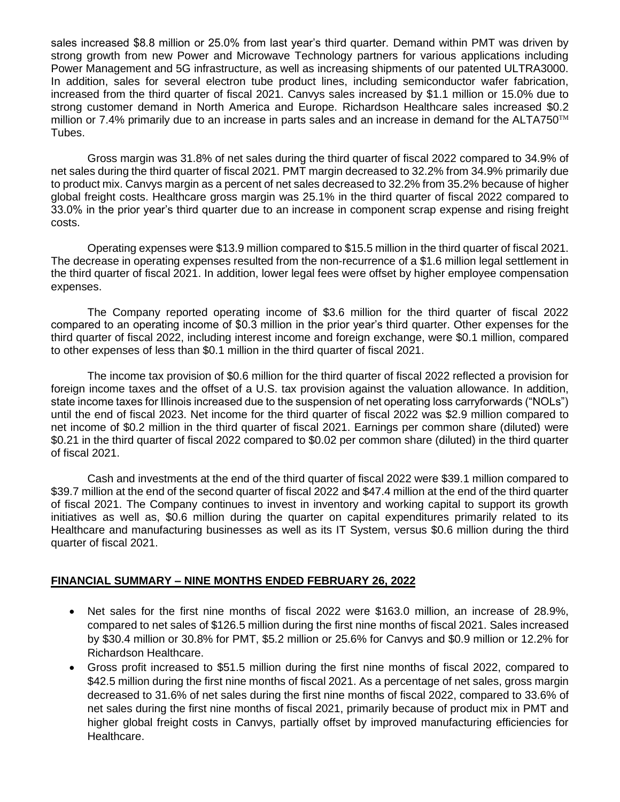sales increased \$8.8 million or 25.0% from last year's third quarter. Demand within PMT was driven by strong growth from new Power and Microwave Technology partners for various applications including Power Management and 5G infrastructure, as well as increasing shipments of our patented ULTRA3000. In addition, sales for several electron tube product lines, including semiconductor wafer fabrication, increased from the third quarter of fiscal 2021. Canvys sales increased by \$1.1 million or 15.0% due to strong customer demand in North America and Europe. Richardson Healthcare sales increased \$0.2 million or 7.4% primarily due to an increase in parts sales and an increase in demand for the ALTA750 $TM$ Tubes.

Gross margin was 31.8% of net sales during the third quarter of fiscal 2022 compared to 34.9% of net sales during the third quarter of fiscal 2021. PMT margin decreased to 32.2% from 34.9% primarily due to product mix. Canvys margin as a percent of net sales decreased to 32.2% from 35.2% because of higher global freight costs. Healthcare gross margin was 25.1% in the third quarter of fiscal 2022 compared to 33.0% in the prior year's third quarter due to an increase in component scrap expense and rising freight costs.

Operating expenses were \$13.9 million compared to \$15.5 million in the third quarter of fiscal 2021. The decrease in operating expenses resulted from the non-recurrence of a \$1.6 million legal settlement in the third quarter of fiscal 2021. In addition, lower legal fees were offset by higher employee compensation expenses.

The Company reported operating income of \$3.6 million for the third quarter of fiscal 2022 compared to an operating income of \$0.3 million in the prior year's third quarter. Other expenses for the third quarter of fiscal 2022, including interest income and foreign exchange, were \$0.1 million, compared to other expenses of less than \$0.1 million in the third quarter of fiscal 2021.

The income tax provision of \$0.6 million for the third quarter of fiscal 2022 reflected a provision for foreign income taxes and the offset of a U.S. tax provision against the valuation allowance. In addition, state income taxes for Illinois increased due to the suspension of net operating loss carryforwards ("NOLs") until the end of fiscal 2023. Net income for the third quarter of fiscal 2022 was \$2.9 million compared to net income of \$0.2 million in the third quarter of fiscal 2021. Earnings per common share (diluted) were \$0.21 in the third quarter of fiscal 2022 compared to \$0.02 per common share (diluted) in the third quarter of fiscal 2021.

Cash and investments at the end of the third quarter of fiscal 2022 were \$39.1 million compared to \$39.7 million at the end of the second quarter of fiscal 2022 and \$47.4 million at the end of the third quarter of fiscal 2021. The Company continues to invest in inventory and working capital to support its growth initiatives as well as, \$0.6 million during the quarter on capital expenditures primarily related to its Healthcare and manufacturing businesses as well as its IT System, versus \$0.6 million during the third quarter of fiscal 2021.

### **FINANCIAL SUMMARY – NINE MONTHS ENDED FEBRUARY 26, 2022**

- Net sales for the first nine months of fiscal 2022 were \$163.0 million, an increase of 28.9%, compared to net sales of \$126.5 million during the first nine months of fiscal 2021. Sales increased by \$30.4 million or 30.8% for PMT, \$5.2 million or 25.6% for Canvys and \$0.9 million or 12.2% for Richardson Healthcare.
- Gross profit increased to \$51.5 million during the first nine months of fiscal 2022, compared to \$42.5 million during the first nine months of fiscal 2021. As a percentage of net sales, gross margin decreased to 31.6% of net sales during the first nine months of fiscal 2022, compared to 33.6% of net sales during the first nine months of fiscal 2021, primarily because of product mix in PMT and higher global freight costs in Canvys, partially offset by improved manufacturing efficiencies for Healthcare.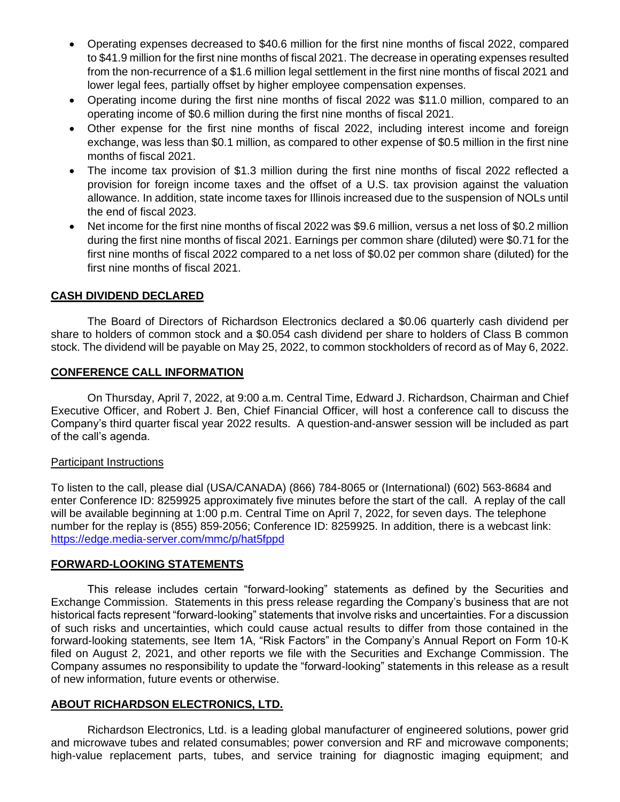- Operating expenses decreased to \$40.6 million for the first nine months of fiscal 2022, compared to \$41.9 million for the first nine months of fiscal 2021. The decrease in operating expenses resulted from the non-recurrence of a \$1.6 million legal settlement in the first nine months of fiscal 2021 and lower legal fees, partially offset by higher employee compensation expenses.
- Operating income during the first nine months of fiscal 2022 was \$11.0 million, compared to an operating income of \$0.6 million during the first nine months of fiscal 2021.
- Other expense for the first nine months of fiscal 2022, including interest income and foreign exchange, was less than \$0.1 million, as compared to other expense of \$0.5 million in the first nine months of fiscal 2021.
- The income tax provision of \$1.3 million during the first nine months of fiscal 2022 reflected a provision for foreign income taxes and the offset of a U.S. tax provision against the valuation allowance. In addition, state income taxes for Illinois increased due to the suspension of NOLs until the end of fiscal 2023.
- Net income for the first nine months of fiscal 2022 was \$9.6 million, versus a net loss of \$0.2 million during the first nine months of fiscal 2021. Earnings per common share (diluted) were \$0.71 for the first nine months of fiscal 2022 compared to a net loss of \$0.02 per common share (diluted) for the first nine months of fiscal 2021.

## **CASH DIVIDEND DECLARED**

The Board of Directors of Richardson Electronics declared a \$0.06 quarterly cash dividend per share to holders of common stock and a \$0.054 cash dividend per share to holders of Class B common stock. The dividend will be payable on May 25, 2022, to common stockholders of record as of May 6, 2022.

### **CONFERENCE CALL INFORMATION**

On Thursday, April 7, 2022, at 9:00 a.m. Central Time, Edward J. Richardson, Chairman and Chief Executive Officer, and Robert J. Ben, Chief Financial Officer, will host a conference call to discuss the Company's third quarter fiscal year 2022 results. A question-and-answer session will be included as part of the call's agenda.

#### Participant Instructions

To listen to the call, please dial (USA/CANADA) (866) 784-8065 or (International) (602) 563-8684 and enter Conference ID: 8259925 approximately five minutes before the start of the call. A replay of the call will be available beginning at 1:00 p.m. Central Time on April 7, 2022, for seven days. The telephone number for the replay is (855) 859-2056; Conference ID: 8259925. In addition, there is a webcast link: [https://edge.media-server.com/mmc/p/hat5fppd](https://protect-us.mimecast.com/s/sKXYC9rYB2cmAkYESoe4Ct?domain=edge.media-server.com)

### **FORWARD-LOOKING STATEMENTS**

This release includes certain "forward-looking" statements as defined by the Securities and Exchange Commission. Statements in this press release regarding the Company's business that are not historical facts represent "forward-looking" statements that involve risks and uncertainties. For a discussion of such risks and uncertainties, which could cause actual results to differ from those contained in the forward-looking statements, see Item 1A, "Risk Factors" in the Company's Annual Report on Form 10-K filed on August 2, 2021, and other reports we file with the Securities and Exchange Commission. The Company assumes no responsibility to update the "forward-looking" statements in this release as a result of new information, future events or otherwise.

### **ABOUT RICHARDSON ELECTRONICS, LTD.**

Richardson Electronics, Ltd. is a leading global manufacturer of engineered solutions, power grid and microwave tubes and related consumables; power conversion and RF and microwave components; high-value replacement parts, tubes, and service training for diagnostic imaging equipment; and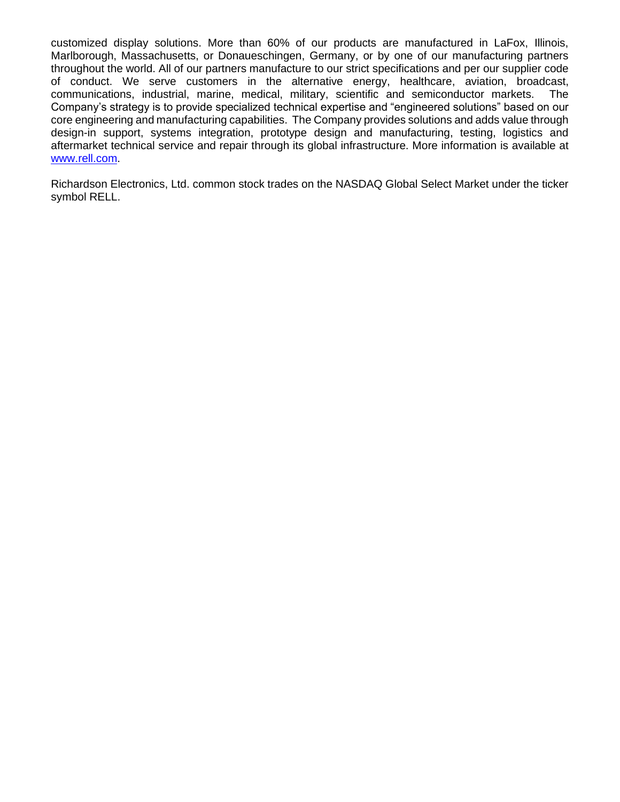customized display solutions. More than 60% of our products are manufactured in LaFox, Illinois, Marlborough, Massachusetts, or Donaueschingen, Germany, or by one of our manufacturing partners throughout the world. All of our partners manufacture to our strict specifications and per our supplier code of conduct. We serve customers in the alternative energy, healthcare, aviation, broadcast, communications, industrial, marine, medical, military, scientific and semiconductor markets. The Company's strategy is to provide specialized technical expertise and "engineered solutions" based on our core engineering and manufacturing capabilities. The Company provides solutions and adds value through design-in support, systems integration, prototype design and manufacturing, testing, logistics and aftermarket technical service and repair through its global infrastructure. More information is available at [www.rell.com.](http://www.rell.com/)

Richardson Electronics, Ltd. common stock trades on the NASDAQ Global Select Market under the ticker symbol RELL.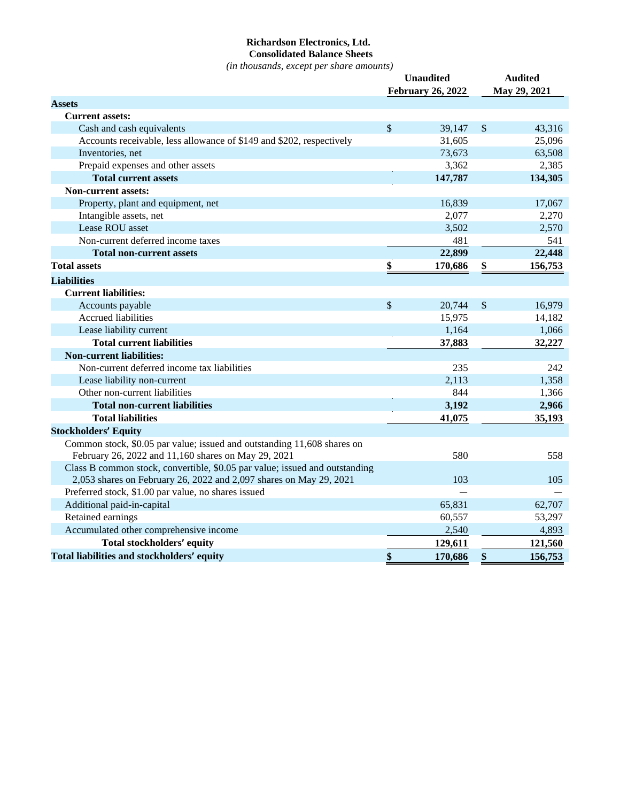### **Richardson Electronics, Ltd. Consolidated Balance Sheets**

*(in thousands, except per share amounts)*

|                                                                             | <b>Unaudited</b> |                          |              | <b>Audited</b> |
|-----------------------------------------------------------------------------|------------------|--------------------------|--------------|----------------|
|                                                                             |                  | <b>February 26, 2022</b> |              | May 29, 2021   |
| <b>Assets</b>                                                               |                  |                          |              |                |
| <b>Current assets:</b>                                                      |                  |                          |              |                |
| Cash and cash equivalents                                                   | $\mathcal{S}$    | 39,147                   | $\sqrt$      | 43,316         |
| Accounts receivable, less allowance of \$149 and \$202, respectively        |                  | 31,605                   |              | 25,096         |
| Inventories, net                                                            |                  | 73,673                   |              | 63,508         |
| Prepaid expenses and other assets                                           |                  | 3,362                    |              | 2,385          |
| <b>Total current assets</b>                                                 |                  | 147,787                  |              | 134,305        |
| <b>Non-current assets:</b>                                                  |                  |                          |              |                |
| Property, plant and equipment, net                                          |                  | 16,839                   |              | 17,067         |
| Intangible assets, net                                                      |                  | 2,077                    |              | 2,270          |
| Lease ROU asset                                                             |                  | 3,502                    |              | 2,570          |
| Non-current deferred income taxes                                           |                  | 481                      |              | 541            |
| <b>Total non-current assets</b>                                             |                  | 22,899                   |              | 22,448         |
| <b>Total assets</b>                                                         | \$               | 170,686                  | \$           | 156,753        |
| <b>Liabilities</b>                                                          |                  |                          |              |                |
| <b>Current liabilities:</b>                                                 |                  |                          |              |                |
| Accounts payable                                                            | $\mathbb{S}$     | 20,744                   | $\mathbb{S}$ | 16,979         |
| <b>Accrued liabilities</b>                                                  |                  | 15,975                   |              | 14,182         |
| Lease liability current                                                     |                  | 1,164                    |              | 1,066          |
| <b>Total current liabilities</b>                                            |                  | 37,883                   |              | 32,227         |
| <b>Non-current liabilities:</b>                                             |                  |                          |              |                |
| Non-current deferred income tax liabilities                                 |                  | 235                      |              | 242            |
| Lease liability non-current                                                 |                  | 2,113                    |              | 1,358          |
| Other non-current liabilities                                               |                  | 844                      |              | 1,366          |
| <b>Total non-current liabilities</b>                                        |                  | 3,192                    |              | 2,966          |
| <b>Total liabilities</b>                                                    |                  | 41,075                   |              | 35,193         |
| <b>Stockholders' Equity</b>                                                 |                  |                          |              |                |
| Common stock, \$0.05 par value; issued and outstanding 11,608 shares on     |                  |                          |              |                |
| February 26, 2022 and 11,160 shares on May 29, 2021                         |                  | 580                      |              | 558            |
| Class B common stock, convertible, \$0.05 par value; issued and outstanding |                  |                          |              |                |
| 2,053 shares on February 26, 2022 and 2,097 shares on May 29, 2021          |                  | 103                      |              | 105            |
| Preferred stock, \$1.00 par value, no shares issued                         |                  |                          |              |                |
| Additional paid-in-capital                                                  |                  | 65,831                   |              | 62,707         |
| Retained earnings                                                           |                  | 60,557                   |              | 53,297         |
| Accumulated other comprehensive income                                      |                  | 2,540                    |              | 4,893          |
| Total stockholders' equity                                                  |                  | 129,611                  |              | 121,560        |
| Total liabilities and stockholders' equity                                  | \$               | 170,686                  | \$           | 156,753        |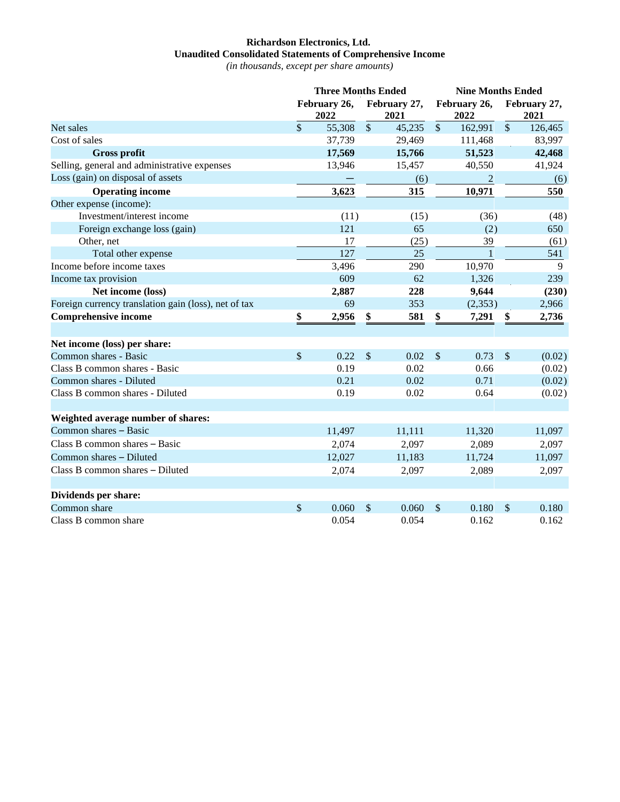## **Richardson Electronics, Ltd. Unaudited Consolidated Statements of Comprehensive Income**

*(in thousands, except per share amounts)*

|                                                      | <b>Three Months Ended</b> |                      |                           | <b>Nine Months Ended</b> |                      |                |                      |         |
|------------------------------------------------------|---------------------------|----------------------|---------------------------|--------------------------|----------------------|----------------|----------------------|---------|
|                                                      |                           | February 26,<br>2022 | February 27,<br>2021      |                          | February 26,<br>2022 |                | February 27,<br>2021 |         |
| Net sales                                            | $\mathbb{S}$              | 55,308               | $\sqrt{\ }$               | 45,235                   | $\mathbb{S}$         | 162,991        | $\mathbb{S}$         | 126,465 |
| Cost of sales                                        |                           | 37,739               |                           | 29,469                   |                      | 111,468        |                      | 83,997  |
| <b>Gross profit</b>                                  |                           | 17,569               |                           | 15,766                   |                      | 51,523         |                      | 42,468  |
| Selling, general and administrative expenses         |                           | 13,946               |                           | 15,457                   |                      | 40,550         |                      | 41,924  |
| Loss (gain) on disposal of assets                    |                           |                      |                           | (6)                      |                      | $\overline{2}$ |                      | (6)     |
| <b>Operating income</b>                              |                           | 3,623                |                           | 315                      |                      | 10,971         |                      | 550     |
| Other expense (income):                              |                           |                      |                           |                          |                      |                |                      |         |
| Investment/interest income                           |                           | (11)                 |                           | (15)                     |                      | (36)           |                      | (48)    |
| Foreign exchange loss (gain)                         |                           | 121                  |                           | 65                       |                      | (2)            |                      | 650     |
| Other, net                                           |                           | 17                   |                           | (25)                     |                      | 39             |                      | (61)    |
| Total other expense                                  |                           | 127                  |                           | 25                       |                      | $\mathbf{1}$   |                      | 541     |
| Income before income taxes                           |                           | 3,496                |                           | 290                      |                      | 10,970         |                      | 9       |
| Income tax provision                                 |                           | 609                  |                           | 62                       |                      | 1,326          |                      | 239     |
| Net income (loss)                                    |                           | 2,887                |                           | 228                      |                      | 9,644          |                      | (230)   |
| Foreign currency translation gain (loss), net of tax |                           | 69                   |                           | 353                      |                      | (2, 353)       |                      | 2,966   |
| <b>Comprehensive income</b>                          | \$                        | 2,956                | \$                        | 581                      | \$                   | 7,291          | \$                   | 2,736   |
| Net income (loss) per share:                         |                           |                      |                           |                          |                      |                |                      |         |
| Common shares - Basic                                | \$                        | 0.22                 | $\sqrt$                   | 0.02                     | $\sqrt$              | 0.73           | $\mathcal{S}$        | (0.02)  |
| Class B common shares - Basic                        |                           | 0.19                 |                           | 0.02                     |                      | 0.66           |                      | (0.02)  |
| Common shares - Diluted                              |                           | 0.21                 |                           | 0.02                     |                      | 0.71           |                      | (0.02)  |
| Class B common shares - Diluted                      |                           | 0.19                 |                           | 0.02                     |                      | 0.64           |                      | (0.02)  |
| Weighted average number of shares:                   |                           |                      |                           |                          |                      |                |                      |         |
| Common shares - Basic                                |                           | 11,497               |                           | 11,111                   |                      | 11,320         |                      | 11,097  |
| Class B common shares - Basic                        |                           | 2,074                |                           | 2,097                    |                      | 2,089          |                      | 2,097   |
| Common shares - Diluted                              |                           | 12,027               |                           | 11,183                   |                      | 11,724         |                      | 11,097  |
| Class B common shares - Diluted                      |                           | 2,074                |                           | 2,097                    |                      | 2,089          |                      | 2,097   |
|                                                      |                           |                      |                           |                          |                      |                |                      |         |
| Dividends per share:                                 |                           |                      |                           |                          |                      |                |                      |         |
| Common share                                         | $\sqrt{\ }$               | 0.060                | $\boldsymbol{\mathsf{S}}$ | 0.060                    | $\sqrt$              | 0.180          | \$                   | 0.180   |
| Class B common share                                 |                           | 0.054                |                           | 0.054                    |                      | 0.162          |                      | 0.162   |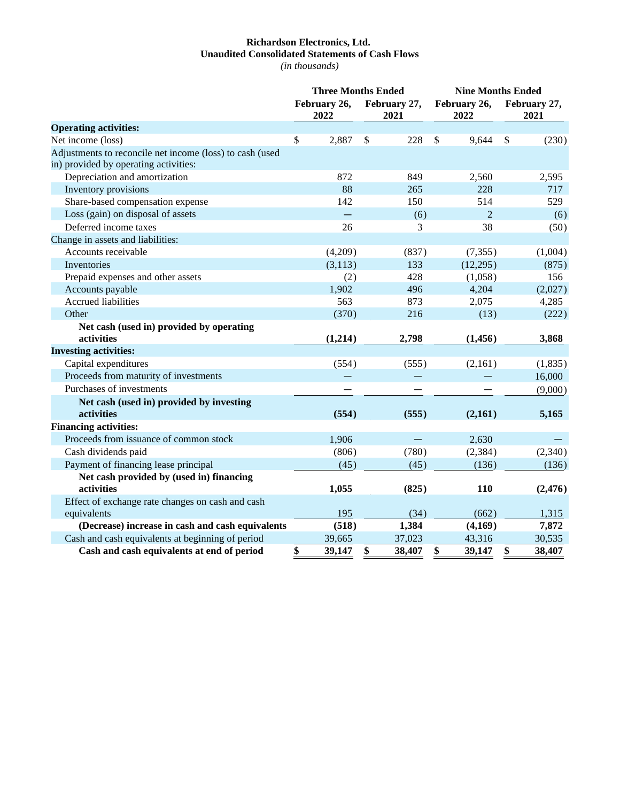## **Richardson Electronics, Ltd. Unaudited Consolidated Statements of Cash Flows**

*(in thousands)*

|                                                          | <b>Three Months Ended</b> |                      |    |                      | <b>Nine Months Ended</b> |                      |               |                      |  |
|----------------------------------------------------------|---------------------------|----------------------|----|----------------------|--------------------------|----------------------|---------------|----------------------|--|
|                                                          |                           | February 26,<br>2022 |    | February 27,<br>2021 |                          | February 26,<br>2022 |               | February 27,<br>2021 |  |
| <b>Operating activities:</b>                             |                           |                      |    |                      |                          |                      |               |                      |  |
| Net income (loss)                                        | \$                        | 2,887                | \$ | 228                  | $\mathcal{S}$            | 9,644                | $\mathcal{S}$ | (230)                |  |
| Adjustments to reconcile net income (loss) to cash (used |                           |                      |    |                      |                          |                      |               |                      |  |
| in) provided by operating activities:                    |                           |                      |    |                      |                          |                      |               |                      |  |
| Depreciation and amortization                            |                           | 872                  |    | 849                  |                          | 2,560                |               | 2,595                |  |
| Inventory provisions                                     |                           | 88                   |    | 265                  |                          | 228                  |               | 717                  |  |
| Share-based compensation expense                         |                           | 142                  |    | 150                  |                          | 514                  |               | 529                  |  |
| Loss (gain) on disposal of assets                        |                           |                      |    | (6)                  |                          | $\overline{2}$       |               | (6)                  |  |
| Deferred income taxes                                    |                           | 26                   |    | 3                    |                          | 38                   |               | (50)                 |  |
| Change in assets and liabilities:                        |                           |                      |    |                      |                          |                      |               |                      |  |
| Accounts receivable                                      |                           | (4,209)              |    | (837)                |                          | (7, 355)             |               | (1,004)              |  |
| Inventories                                              |                           | (3, 113)             |    | 133                  |                          | (12,295)             |               | (875)                |  |
| Prepaid expenses and other assets                        |                           | (2)                  |    | 428                  |                          | (1,058)              |               | 156                  |  |
| Accounts payable                                         |                           | 1,902                |    | 496                  |                          | 4,204                |               | (2,027)              |  |
| <b>Accrued liabilities</b>                               |                           | 563                  |    | 873                  |                          | 2,075                |               | 4,285                |  |
| Other                                                    |                           | (370)                |    | 216                  |                          | (13)                 |               | (222)                |  |
| Net cash (used in) provided by operating<br>activities   |                           | (1,214)              |    | 2,798                |                          | (1,456)              |               | 3,868                |  |
| <b>Investing activities:</b>                             |                           |                      |    |                      |                          |                      |               |                      |  |
| Capital expenditures                                     |                           | (554)                |    | (555)                |                          | (2,161)              |               | (1,835)              |  |
| Proceeds from maturity of investments                    |                           |                      |    |                      |                          |                      |               | 16,000               |  |
| Purchases of investments                                 |                           |                      |    |                      |                          |                      |               | (9,000)              |  |
| Net cash (used in) provided by investing<br>activities   |                           | (554)                |    | (555)                |                          |                      |               |                      |  |
| <b>Financing activities:</b>                             |                           |                      |    |                      |                          | (2,161)              |               | 5,165                |  |
| Proceeds from issuance of common stock                   |                           | 1,906                |    |                      |                          | 2,630                |               |                      |  |
| Cash dividends paid                                      |                           |                      |    |                      |                          |                      |               | (2,340)              |  |
| Payment of financing lease principal                     |                           | (806)<br>(45)        |    | (780)<br>(45)        |                          | (2, 384)<br>(136)    |               |                      |  |
| Net cash provided by (used in) financing                 |                           |                      |    |                      |                          |                      |               | (136)                |  |
| activities                                               |                           | 1,055                |    | (825)                |                          | 110                  |               | (2, 476)             |  |
| Effect of exchange rate changes on cash and cash         |                           |                      |    |                      |                          |                      |               |                      |  |
| equivalents                                              |                           | 195                  |    | (34)                 |                          | (662)                |               | 1,315                |  |
| (Decrease) increase in cash and cash equivalents         |                           | (518)                |    | 1,384                |                          | (4,169)              |               | 7,872                |  |
| Cash and cash equivalents at beginning of period         |                           | 39,665               |    | 37,023               |                          | 43,316               |               | 30,535               |  |
| Cash and cash equivalents at end of period               | \$                        | 39,147               | \$ | 38,407               | \$                       | 39,147               | \$            | 38,407               |  |